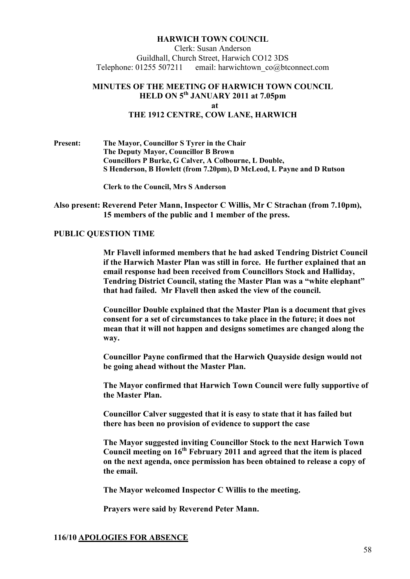#### **HARWICH TOW COU CIL**

Clerk: Susan Anderson Guildhall, Church Street, Harwich CO12 3DS Telephone: 01255 507211 email: harwichtown co@btconnect.com

### **MI UTES OF THE MEETI G OF HARWICH TOW COU CIL HELD O 5th JA UARY 2011 at 7.05pm at THE 1912 CE TRE, COW LA E, HARWICH**

**Present: The Mayor, Councillor S Tyrer in the Chair The Deputy Mayor, Councillor B Brown Councillors P Burke, G Calver, A Colbourne, L Double, S Henderson, B Howlett (from 7.20pm), D McLeod, L Payne and D Rutson** 

**Clerk to the Council, Mrs S Anderson** 

**Also present: Reverend Peter Mann, Inspector C Willis, Mr C Strachan (from 7.10pm), 15 members of the public and 1 member of the press.**

#### **PUBLIC QUESTION TIME**

 **Mr Flavell informed members that he had asked Tendring District Council if the Harwich Master Plan was still in force. He further explained that an email response had been received from Councillors Stock and Halliday, Tendring District Council, stating the Master Plan was a "white elephant" that had failed. Mr Flavell then asked the view of the council.** 

 **Councillor Double explained that the Master Plan is a document that gives consent for a set of circumstances to take place in the future; it does not mean that it will not happen and designs sometimes are changed along the way.** 

 **Councillor Payne confirmed that the Harwich Quayside design would not be going ahead without the Master Plan.** 

 **The Mayor confirmed that Harwich Town Council were fully supportive of the Master Plan.** 

 **Councillor Calver suggested that it is easy to state that it has failed but there has been no provision of evidence to support the case** 

 **The Mayor suggested inviting Councillor Stock to the next Harwich Town Council meeting on 16th February 2011 and agreed that the item is placed on the next agenda, once permission has been obtained to release a copy of the email.** 

 **The Mayor welcomed Inspector C Willis to the meeting.** 

 **Prayers were said by Reverend Peter Mann.** 

## **116/10 APOLOGIES FOR ABSE CE**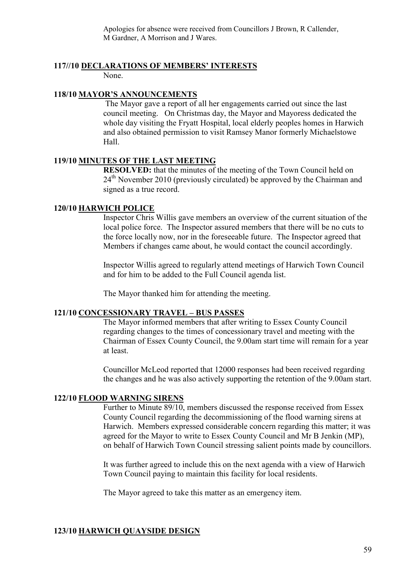Apologies for absence were received from Councillors J Brown, R Callender, M Gardner, A Morrison and J Wares.

# **117//10 DECLARATIO S OF MEMBERS' I TERESTS**

None.

# **118/10 MAYOR'S ANNOUNCEMENTS**

 The Mayor gave a report of all her engagements carried out since the last council meeting. On Christmas day, the Mayor and Mayoress dedicated the whole day visiting the Fryatt Hospital, local elderly peoples homes in Harwich and also obtained permission to visit Ramsey Manor formerly Michaelstowe Hall.

# 119/10 **MINUTES OF THE LAST MEETING**

**RESOLVED:** that the minutes of the meeting of the Town Council held on  $24<sup>th</sup>$  November 2010 (previously circulated) be approved by the Chairman and signed as a true record.

### **120/10 HARWICH POLICE**

Inspector Chris Willis gave members an overview of the current situation of the local police force. The Inspector assured members that there will be no cuts to the force locally now, nor in the foreseeable future. The Inspector agreed that Members if changes came about, he would contact the council accordingly.

Inspector Willis agreed to regularly attend meetings of Harwich Town Council and for him to be added to the Full Council agenda list.

The Mayor thanked him for attending the meeting.

### **121/10 CO CESSIO ARY TRAVEL – BUS PASSES**

The Mayor informed members that after writing to Essex County Council regarding changes to the times of concessionary travel and meeting with the Chairman of Essex County Council, the 9.00am start time will remain for a year at least.

Councillor McLeod reported that 12000 responses had been received regarding the changes and he was also actively supporting the retention of the 9.00am start.

# **122/10 FLOOD WARNING SIRENS**

Further to Minute 89/10, members discussed the response received from Essex County Council regarding the decommissioning of the flood warning sirens at Harwich. Members expressed considerable concern regarding this matter; it was agreed for the Mayor to write to Essex County Council and Mr B Jenkin (MP), on behalf of Harwich Town Council stressing salient points made by councillors.

It was further agreed to include this on the next agenda with a view of Harwich Town Council paying to maintain this facility for local residents.

The Mayor agreed to take this matter as an emergency item.

# **123/10 HARWICH QUAYSIDE DESIG**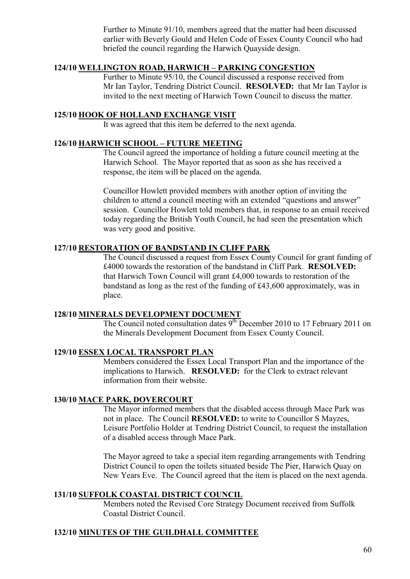Further to Minute 91/10, members agreed that the matter had been discussed earlier with Beverly Gould and Helen Code of Essex County Council who had briefed the council regarding the Harwich Quayside design.

# 124/10 WELLINGTON ROAD, HARWICH – PARKING CONGESTION

Further to Minute 95/10, the Council discussed a response received from Mr Ian Taylor, Tendring District Council. **RESOLVED:** that Mr Ian Taylor is invited to the next meeting of Harwich Town Council to discuss the matter.

#### **125/10 HOOK OF HOLLA D EXCHA GE VISIT**

It was agreed that this item be deferred to the next agenda.

#### **126/10 HARWICH SCHOOL – FUTURE MEETI G**

The Council agreed the importance of holding a future council meeting at the Harwich School. The Mayor reported that as soon as she has received a response, the item will be placed on the agenda.

Councillor Howlett provided members with another option of inviting the children to attend a council meeting with an extended "questions and answer" session. Councillor Howlett told members that, in response to an email received today regarding the British Youth Council, he had seen the presentation which was very good and positive.

### **127/10 RESTORATION OF BANDSTAND IN CLIFF PARK**

The Council discussed a request from Essex County Council for grant funding of £4000 towards the restoration of the bandstand in Cliff Park. **RESOLVED:**  that Harwich Town Council will grant £4,000 towards to restoration of the bandstand as long as the rest of the funding of £43,600 approximately, was in place.

#### **128/10 MI ERALS DEVELOPME T DOCUME T**

The Council noted consultation dates  $9^{th}$  December 2010 to 17 February 2011 on the Minerals Development Document from Essex County Council.

# **129/10 ESSEX LOCAL TRA SPORT PLA**

Members considered the Essex Local Transport Plan and the importance of the implications to Harwich. **RESOLVED:** for the Clerk to extract relevant information from their website.

#### **130/10 MACE PARK, DOVERCOURT**

The Mayor informed members that the disabled access through Mace Park was not in place. The Council **RESOLVED:** to write to Councillor S Mayzes, Leisure Portfolio Holder at Tendring District Council, to request the installation of a disabled access through Mace Park.

The Mayor agreed to take a special item regarding arrangements with Tendring District Council to open the toilets situated beside The Pier, Harwich Quay on New Years Eve. The Council agreed that the item is placed on the next agenda.

#### **131/10 SUFFOLK COASTAL DISTRICT COU CIL**

Members noted the Revised Core Strategy Document received from Suffolk Coastal District Council.

# **132/10 MI UTES OF THE GUILDHALL COMMITTEE**